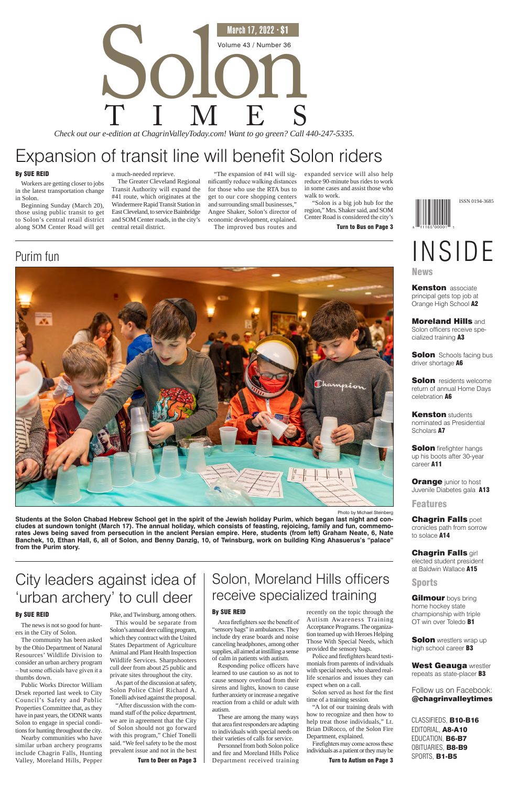# Volume 43 / Number 36<br>
TIMES<br>
The dition at ChagrinValleyToday.com! Want to go green? Call 4 March 17, 2022 · \$1 *Check out our e-edition at ChagrinValleyToday.com! Want to go green? Call 440-247-5335.*

Photo by Michael Steinberg **Students at the Solon Chabad Hebrew School get in the spirit of the Jewish holiday Purim, which began last night and concludes at sundown tonight (March 17). The annual holiday, which consists of feasting, rejoicing, family and fun, commemorates Jews being saved from persecution in the ancient Persian empire. Here, students (from left) Graham Neate, 6, Nate Banchek, 10, Ethan Hall, 6, all of Solon, and Benny Danzig, 10, of Twinsburg, work on building King Ahasuerus's "palace" from the Purim story.**

Expansion of transit line will benefit Solon riders

#### By SUE REID

Workers are getting closer to jobs in the latest transportation change in Solon.

Beginning Sunday (March 20), those using public transit to get to Solon's central retail district along SOM Center Road will get a much-needed reprieve.

The Greater Cleveland Regional Transit Authority will expand the #41 route, which originates at the Windermere Rapid Transit Station in East Cleveland, to service Bainbridge and SOM Center roads, in the city's central retail district.

"The expansion of #41 will significantly reduce walking distances for those who use the RTA bus to get to our core shopping centers and surrounding small businesses," Angee Shaker, Solon's director of economic development, explained. The improved bus routes and

expanded service will also help reduce 90-minute bus rides to work in some cases and assist those who walk to work.

"Solon is a big job hub for the region," Mrs. Shaker said, and SOM Center Road is considered the city's

Turn to Bus on Page 3

## Purim fun



# City leaders against idea of 'urban archery' to cull deer

#### By SUE REID

The news is not so good for hunters in the City of Solon.

> Turn to Deer on Page 3  $\parallel$  Department received training  $\parallel$  Turn to Autism on Page 3 Personnel from both Solon police and fire and Moreland Hills Police

The community has been asked by the Ohio Department of Natural Resources' Wildlife Division to consider an urban archery program – but some officials have given it a thumbs down.

Public Works Director William Drsek reported last week to City Council's Safety and Public Properties Committee that, as they have in past years, the ODNR wants Solon to engage in special conditions for hunting throughout the city.



**Kenston** associate principal gets top job at Orange High School A2

Moreland Hills and Solon officers receive specialized training A3

**Solon** Schools facing bus driver shortage A6

Nearby communities who have similar urban archery programs include Chagrin Falls, Hunting Valley, Moreland Hills, Pepper

**Solon** residents welcome return of annual Home Days celebration A6

**Kenston students** nominated as Presidential Scholars A7

**Solon** firefighter hangs up his boots after 30-year career A11

**Orange** junior to host Juvenile Diabetes gala A13

**Features** 

**Chagrin Falls poet** cronicles path from sorrow to solace A14

Pike, and Twinsburg, among others. This would be separate from Solon's annual deer culling program, which they contract with the United States Department of Agriculture Animal and Plant Health Inspection Wildlife Services. Sharpshooters cull deer from about 25 public and

**Chagrin Falls girl** elected student president at Baldwin Wallace A15

**Gilmour** boys bring home hockey state championship with triple OT win over Toledo B1

**Solon** wrestlers wrap up high school career **B3** 

West Geauga wrestler repeats as state-placer **B3** 

private sites throughout the city. As part of the discussion at safety, Solon Police Chief Richard A. Tonelli advised against the proposal.

"After discussion with the command staff of the police department, we are in agreement that the City of Solon should not go forward with this program," Chief Tonelli said. "We feel safety to be the most prevalent issue and not in the best

## Solon, Moreland Hills officers receive specialized training

#### By SUE REID

Area firefighters see the benefit of "sensory bags" in ambulances. They include dry erase boards and noise canceling headphones, among other supplies, all aimed at instilling a sense of calm in patients with autism.

Responding police officers have learned to use caution so as not to cause sensory overload from their sirens and lights, known to cause further anxiety or increase a negative reaction from a child or adult with autism.

These are among the many ways that area first responders are adapting to individuals with special needs on their varieties of calls for service.

recently on the topic through the Autism Awareness Training Acceptance Programs. The organization teamed up with Heroes Helping Those With Special Needs, which provided the sensory bags.

Police and firefighters heard testimonials from parents of individuals with special needs, who shared reallife scenarios and issues they can expect when on a call.

Solon served as host for the first time of a training session.

"A lot of our training deals with how to recognize and then how to help treat those individuals," Lt. Brian DiRocco, of the Solon Fire Department, explained.

Firefighters may come across these individuals as a patient or they may be

CLASSIFIEDS, B10-B16 EDITORIAL, A8-A10 EDUCATION, B6-B7 OBITUARIES, **B8-B9** SPORTS, B1-B5

### Follow us on Facebook: @chagrinvalleytimes

## Sports